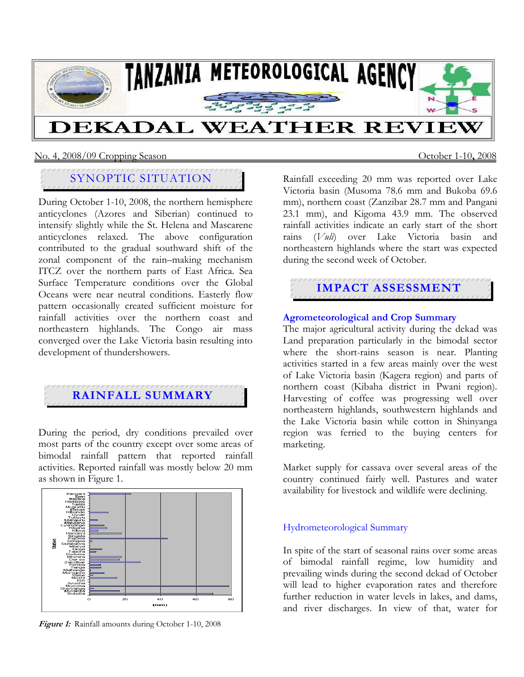

#### No. 4, 2008/09 Cropping Season October 1-10**,** 2008

## SYNOPTIC SITUATION

During October 1-10, 2008, the northern hemisphere anticyclones (Azores and Siberian) continued to intensify slightly while the St. Helena and Mascarene anticyclones relaxed. The above configuration contributed to the gradual southward shift of the zonal component of the rain–making mechanism ITCZ over the northern parts of East Africa. Sea Surface Temperature conditions over the Global Oceans were near neutral conditions. Easterly flow pattern occasionally created sufficient moisture for rainfall activities over the northern coast and northeastern highlands. The Congo air mass converged over the Lake Victoria basin resulting into development of thundershowers.

# **RAINFALL SUMMARY**

During the period, dry conditions prevailed over most parts of the country except over some areas of bimodal rainfall pattern that reported rainfall activities. Reported rainfall was mostly below 20 mm as shown in Figure 1.



Figure 1: Rainfall amounts during October 1-10, 2008

Rainfall exceeding 20 mm was reported over Lake Victoria basin (Musoma 78.6 mm and Bukoba 69.6 mm), northern coast (Zanzibar 28.7 mm and Pangani 23.1 mm), and Kigoma 43.9 mm. The observed rainfall activities indicate an early start of the short rains (*Vuli*) over Lake Victoria basin and northeastern highlands where the start was expected during the second week of October.

### **IMPACT ASSESSMENT**

#### **Agrometeorological and Crop Summary**

The major agricultural activity during the dekad was Land preparation particularly in the bimodal sector where the short-rains season is near. Planting activities started in a few areas mainly over the west of Lake Victoria basin (Kagera region) and parts of northern coast (Kibaha district in Pwani region). Harvesting of coffee was progressing well over northeastern highlands, southwestern highlands and the Lake Victoria basin while cotton in Shinyanga region was ferried to the buying centers for marketing.

Market supply for cassava over several areas of the country continued fairly well. Pastures and water availability for livestock and wildlife were declining.

#### Hydrometeorological Summary

In spite of the start of seasonal rains over some areas of bimodal rainfall regime, low humidity and prevailing winds during the second dekad of October will lead to higher evaporation rates and therefore further reduction in water levels in lakes, and dams, and river discharges. In view of that, water for